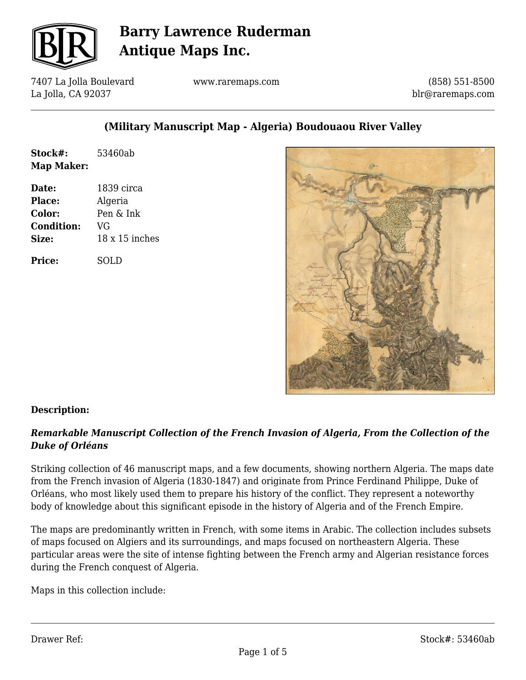

7407 La Jolla Boulevard La Jolla, CA 92037

www.raremaps.com

(858) 551-8500 blr@raremaps.com

## **(Military Manuscript Map - Algeria) Boudouaou River Valley**

| Stock#:    | 53460ab |
|------------|---------|
| Map Maker: |         |

**Date:** 1839 circa **Place:** Algeria **Color:** Pen & Ink **Condition:** VG **Size:** 18 x 15 inches

**Price:** SOLD



### **Description:**

### *Remarkable Manuscript Collection of the French Invasion of Algeria, From the Collection of the Duke of Orléans*

Striking collection of 46 manuscript maps, and a few documents, showing northern Algeria. The maps date from the French invasion of Algeria (1830-1847) and originate from Prince Ferdinand Philippe, Duke of Orléans, who most likely used them to prepare his history of the conflict. They represent a noteworthy body of knowledge about this significant episode in the history of Algeria and of the French Empire.

The maps are predominantly written in French, with some items in Arabic. The collection includes subsets of maps focused on Algiers and its surroundings, and maps focused on northeastern Algeria. These particular areas were the site of intense fighting between the French army and Algerian resistance forces during the French conquest of Algeria.

Maps in this collection include: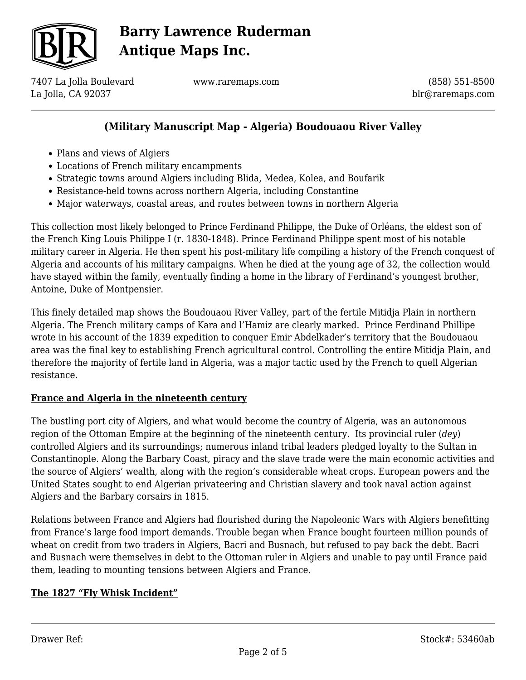

7407 La Jolla Boulevard La Jolla, CA 92037

www.raremaps.com

(858) 551-8500 blr@raremaps.com

## **(Military Manuscript Map - Algeria) Boudouaou River Valley**

- Plans and views of Algiers
- Locations of French military encampments
- Strategic towns around Algiers including Blida, Medea, Kolea, and Boufarik
- Resistance-held towns across northern Algeria, including Constantine
- Major waterways, coastal areas, and routes between towns in northern Algeria

This collection most likely belonged to Prince Ferdinand Philippe, the Duke of Orléans, the eldest son of the French King Louis Philippe I (r. 1830-1848). Prince Ferdinand Philippe spent most of his notable military career in Algeria. He then spent his post-military life compiling a history of the French conquest of Algeria and accounts of his military campaigns. When he died at the young age of 32, the collection would have stayed within the family, eventually finding a home in the library of Ferdinand's youngest brother, Antoine, Duke of Montpensier.

This finely detailed map shows the Boudouaou River Valley, part of the fertile Mitidja Plain in northern Algeria. The French military camps of Kara and l'Hamiz are clearly marked. Prince Ferdinand Phillipe wrote in his account of the 1839 expedition to conquer Emir Abdelkader's territory that the Boudouaou area was the final key to establishing French agricultural control. Controlling the entire Mitidja Plain, and therefore the majority of fertile land in Algeria, was a major tactic used by the French to quell Algerian resistance.

### **France and Algeria in the nineteenth century**

The bustling port city of Algiers, and what would become the country of Algeria, was an autonomous region of the Ottoman Empire at the beginning of the nineteenth century. Its provincial ruler (*dey*) controlled Algiers and its surroundings; numerous inland tribal leaders pledged loyalty to the Sultan in Constantinople. Along the Barbary Coast, piracy and the slave trade were the main economic activities and the source of Algiers' wealth, along with the region's considerable wheat crops. European powers and the United States sought to end Algerian privateering and Christian slavery and took naval action against Algiers and the Barbary corsairs in 1815.

Relations between France and Algiers had flourished during the Napoleonic Wars with Algiers benefitting from France's large food import demands. Trouble began when France bought fourteen million pounds of wheat on credit from two traders in Algiers, Bacri and Busnach, but refused to pay back the debt. Bacri and Busnach were themselves in debt to the Ottoman ruler in Algiers and unable to pay until France paid them, leading to mounting tensions between Algiers and France.

### **The 1827 "Fly Whisk Incident"**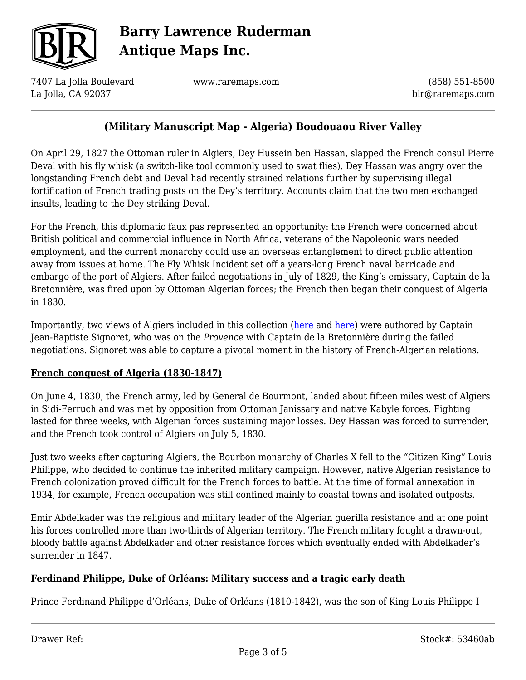

7407 La Jolla Boulevard La Jolla, CA 92037

www.raremaps.com

(858) 551-8500 blr@raremaps.com

## **(Military Manuscript Map - Algeria) Boudouaou River Valley**

On April 29, 1827 the Ottoman ruler in Algiers, Dey Hussein ben Hassan, slapped the French consul Pierre Deval with his fly whisk (a switch-like tool commonly used to swat flies). Dey Hassan was angry over the longstanding French debt and Deval had recently strained relations further by supervising illegal fortification of French trading posts on the Dey's territory. Accounts claim that the two men exchanged insults, leading to the Dey striking Deval.

For the French, this diplomatic faux pas represented an opportunity: the French were concerned about British political and commercial influence in North Africa, veterans of the Napoleonic wars needed employment, and the current monarchy could use an overseas entanglement to direct public attention away from issues at home. The Fly Whisk Incident set off a years-long French naval barricade and embargo of the port of Algiers. After failed negotiations in July of 1829, the King's emissary, Captain de la Bretonnière, was fired upon by Ottoman Algerian forces; the French then began their conquest of Algeria in 1830.

Importantly, two views of Algiers included in this collection [\(here](https://raremaps.com/gallery/detail/53490ab) and [here\)](https://raremaps.com/gallery/detail/53489ab) were authored by Captain Jean-Baptiste Signoret, who was on the *Provence* with Captain de la Bretonnière during the failed negotiations. Signoret was able to capture a pivotal moment in the history of French-Algerian relations.

#### **French conquest of Algeria (1830-1847)**

On June 4, 1830, the French army, led by General de Bourmont, landed about fifteen miles west of Algiers in Sidi-Ferruch and was met by opposition from Ottoman Janissary and native Kabyle forces. Fighting lasted for three weeks, with Algerian forces sustaining major losses. Dey Hassan was forced to surrender, and the French took control of Algiers on July 5, 1830.

Just two weeks after capturing Algiers, the Bourbon monarchy of Charles X fell to the "Citizen King" Louis Philippe, who decided to continue the inherited military campaign. However, native Algerian resistance to French colonization proved difficult for the French forces to battle. At the time of formal annexation in 1934, for example, French occupation was still confined mainly to coastal towns and isolated outposts.

Emir Abdelkader was the religious and military leader of the Algerian guerilla resistance and at one point his forces controlled more than two-thirds of Algerian territory. The French military fought a drawn-out, bloody battle against Abdelkader and other resistance forces which eventually ended with Abdelkader's surrender in 1847.

### **Ferdinand Philippe, Duke of Orléans: Military success and a tragic early death**

Prince Ferdinand Philippe d'Orléans, Duke of Orléans (1810-1842), was the son of King Louis Philippe I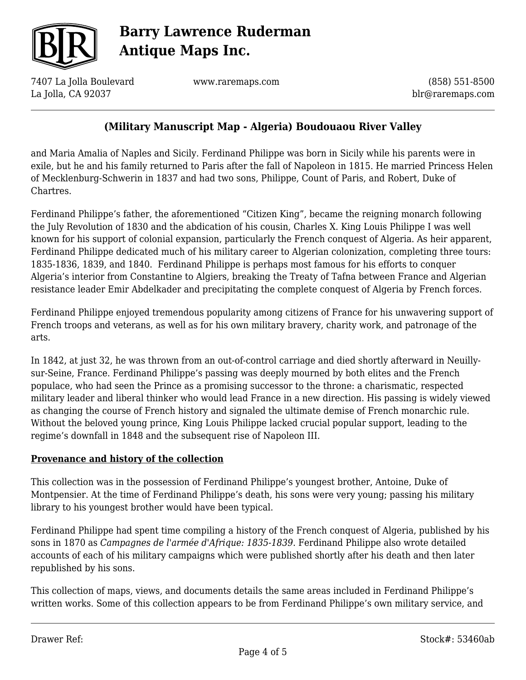

7407 La Jolla Boulevard La Jolla, CA 92037

www.raremaps.com

(858) 551-8500 blr@raremaps.com

## **(Military Manuscript Map - Algeria) Boudouaou River Valley**

and Maria Amalia of Naples and Sicily. Ferdinand Philippe was born in Sicily while his parents were in exile, but he and his family returned to Paris after the fall of Napoleon in 1815. He married Princess Helen of Mecklenburg-Schwerin in 1837 and had two sons, Philippe, Count of Paris, and Robert, Duke of Chartres.

Ferdinand Philippe's father, the aforementioned "Citizen King", became the reigning monarch following the July Revolution of 1830 and the abdication of his cousin, Charles X. King Louis Philippe I was well known for his support of colonial expansion, particularly the French conquest of Algeria. As heir apparent, Ferdinand Philippe dedicated much of his military career to Algerian colonization, completing three tours: 1835-1836, 1839, and 1840. Ferdinand Philippe is perhaps most famous for his efforts to conquer Algeria's interior from Constantine to Algiers, breaking the Treaty of Tafna between France and Algerian resistance leader Emir Abdelkader and precipitating the complete conquest of Algeria by French forces.

Ferdinand Philippe enjoyed tremendous popularity among citizens of France for his unwavering support of French troops and veterans, as well as for his own military bravery, charity work, and patronage of the arts.

In 1842, at just 32, he was thrown from an out-of-control carriage and died shortly afterward in Neuillysur-Seine, France. Ferdinand Philippe's passing was deeply mourned by both elites and the French populace, who had seen the Prince as a promising successor to the throne: a charismatic, respected military leader and liberal thinker who would lead France in a new direction. His passing is widely viewed as changing the course of French history and signaled the ultimate demise of French monarchic rule. Without the beloved young prince, King Louis Philippe lacked crucial popular support, leading to the regime's downfall in 1848 and the subsequent rise of Napoleon III.

### **Provenance and history of the collection**

This collection was in the possession of Ferdinand Philippe's youngest brother, Antoine, Duke of Montpensier. At the time of Ferdinand Philippe's death, his sons were very young; passing his military library to his youngest brother would have been typical.

Ferdinand Philippe had spent time compiling a history of the French conquest of Algeria, published by his sons in 1870 as *Campagnes de l'armée d'Afrique: 1835-1839*. Ferdinand Philippe also wrote detailed accounts of each of his military campaigns which were published shortly after his death and then later republished by his sons.

This collection of maps, views, and documents details the same areas included in Ferdinand Philippe's written works. Some of this collection appears to be from Ferdinand Philippe's own military service, and